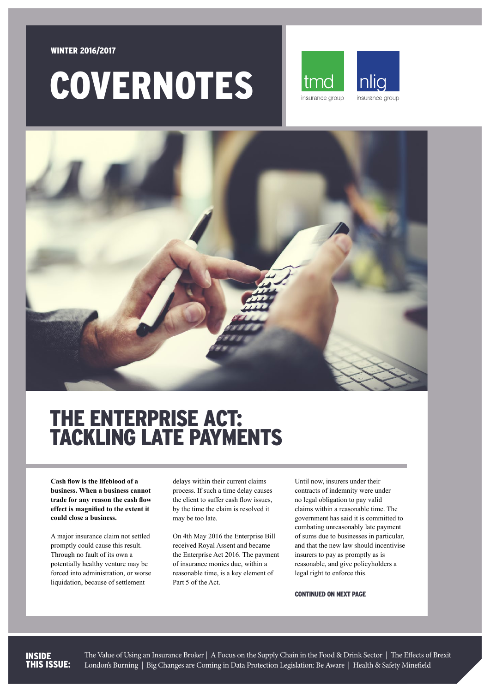#### WINTER 2016/2017

# COVERNOTES





### THE ENTERPRISE ACT: TACKLING LATE PAYMENTS

**Cash flow is the lifeblood of a business. When a business cannot trade for any reason the cash flow effect is magnified to the extent it could close a business.** 

A major insurance claim not settled promptly could cause this result. Through no fault of its own a potentially healthy venture may be forced into administration, or worse liquidation, because of settlement

delays within their current claims process. If such a time delay causes the client to suffer cash flow issues, by the time the claim is resolved it may be too late.

On 4th May 2016 the Enterprise Bill received Royal Assent and became the Enterprise Act 2016. The payment of insurance monies due, within a reasonable time, is a key element of Part 5 of the Act.

Until now, insurers under their contracts of indemnity were under no legal obligation to pay valid claims within a reasonable time. The government has said it is committed to combating unreasonably late payment of sums due to businesses in particular, and that the new law should incentivise insurers to pay as promptly as is reasonable, and give policyholders a legal right to enforce this.

CONTINUED ON NEXT PAGE

#### INSIDE THIS ISSUE:

The Value of Using an Insurance Broker | A Focus on the Supply Chain in the Food & Drink Sector | The Effects of Brexit London's Burning | Big Changes are Coming in Data Protection Legislation: Be Aware | Health & Safety Minefield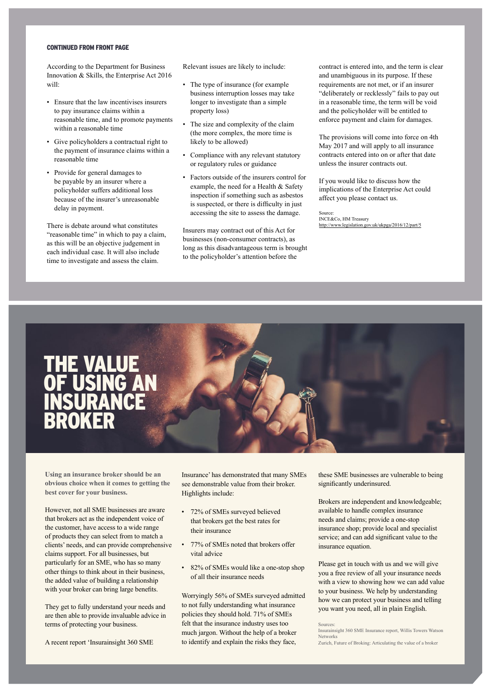#### CONTINUED FROM FRONT PACE

According to the Department for Business Innovation & Skills, the Enterprise Act 2016 will:

- Ensure that the law incentivises insurers to pay insurance claims within a reasonable time, and to promote payments within a reasonable time
- Give policyholders a contractual right to the payment of insurance claims within a reasonable time
- Provide for general damages to be payable by an insurer where a policyholder suffers additional loss because of the insurer's unreasonable delay in payment.

There is debate around what constitutes "reasonable time" in which to pay a claim, as this will be an objective judgement in each individual case. It will also include time to investigate and assess the claim.

Relevant issues are likely to include:

- The type of insurance (for example business interruption losses may take longer to investigate than a simple property loss)
- The size and complexity of the claim (the more complex, the more time is likely to be allowed)
- Compliance with any relevant statutory or regulatory rules or guidance
- Factors outside of the insurers control for example, the need for a Health & Safety inspection if something such as asbestos is suspected, or there is difficulty in just accessing the site to assess the damage.

Insurers may contract out of this Act for businesses (non-consumer contracts), as long as this disadvantageous term is brought to the policyholder's attention before the

contract is entered into, and the term is clear and unambiguous in its purpose. If these requirements are not met, or if an insurer "deliberately or recklessly" fails to pay out in a reasonable time, the term will be void and the policyholder will be entitled to enforce payment and claim for damages.

The provisions will come into force on 4th May 2017 and will apply to all insurance contracts entered into on or after that date unless the insurer contracts out.

If you would like to discuss how the implications of the Enterprise Act could affect you please contact us.

Source: INCE&Co, HM Treasury <http://www.legislation.gov.uk/ukpga/2016/12/part/5>

### THE VALUE OF USING AN **INSURANCE** BROKER

**Using an insurance broker should be an obvious choice when it comes to getting the best cover for your business.**

However, not all SME businesses are aware that brokers act as the independent voice of the customer, have access to a wide range of products they can select from to match a clients' needs, and can provide comprehensive claims support. For all businesses, but particularly for an SME, who has so many other things to think about in their business, the added value of building a relationship with your broker can bring large benefits.

They get to fully understand your needs and are then able to provide invaluable advice in terms of protecting your business.

A recent report 'Insurainsight 360 SME

Insurance' has demonstrated that many SMEs see demonstrable value from their broker. Highlights include:

- 72% of SMEs surveyed believed that brokers get the best rates for their insurance
- 77% of SMEs noted that brokers offer vital advice
- 82% of SMEs would like a one-stop shop of all their insurance needs

Worryingly 56% of SMEs surveyed admitted to not fully understanding what insurance policies they should hold. 71% of SMEs felt that the insurance industry uses too much jargon. Without the help of a broker to identify and explain the risks they face,

these SME businesses are vulnerable to being significantly underinsured.

Brokers are independent and knowledgeable; available to handle complex insurance needs and claims; provide a one-stop insurance shop; provide local and specialist service; and can add significant value to the insurance equation.

Please get in touch with us and we will give you a free review of all your insurance needs with a view to showing how we can add value to your business. We help by understanding how we can protect your business and telling you want you need, all in plain English.

Sources:

Insurainsight 360 SME Insurance report, Willis Towers Watson Networks Zurich, Future of Broking: Articulating the value of a broker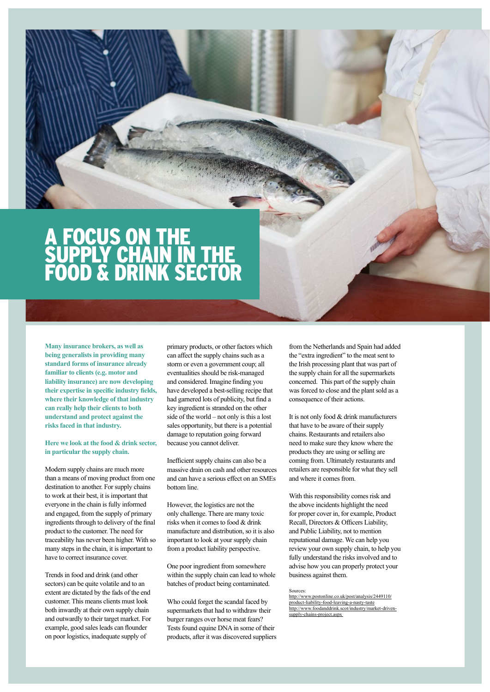### A FOCUS ON THE SUPPLY CHAIN IN THE FOOD & DRINK SECTOR

**Many insurance brokers, as well as being generalists in providing many standard forms of insurance already familiar to clients (e.g. motor and liability insurance) are now developing their expertise in specific industry fields, where their knowledge of that industry can really help their clients to both understand and protect against the risks faced in that industry.**

**Here we look at the food & drink sector, in particular the supply chain.**

Modern supply chains are much more than a means of moving product from one destination to another. For supply chains to work at their best, it is important that everyone in the chain is fully informed and engaged, from the supply of primary ingredients through to delivery of the final product to the customer. The need for traceability has never been higher. With so many steps in the chain, it is important to have to correct insurance cover.

Trends in food and drink (and other sectors) can be quite volatile and to an extent are dictated by the fads of the end customer. This means clients must look both inwardly at their own supply chain and outwardly to their target market. For example, good sales leads can flounder on poor logistics, inadequate supply of

primary products, or other factors which can affect the supply chains such as a storm or even a government coup; all eventualities should be risk-managed and considered. Imagine finding you have developed a best-selling recipe that had garnered lots of publicity, but find a key ingredient is stranded on the other side of the world – not only is this a lost sales opportunity, but there is a potential damage to reputation going forward because you cannot deliver.

Inefficient supply chains can also be a massive drain on cash and other resources and can have a serious effect on an SMEs bottom line.

However, the logistics are not the only challenge. There are many toxic risks when it comes to food & drink manufacture and distribution, so it is also important to look at your supply chain from a product liability perspective.

One poor ingredient from somewhere within the supply chain can lead to whole batches of product being contaminated.

Who could forget the scandal faced by supermarkets that had to withdraw their burger ranges over horse meat fears? Tests found equine DNA in some of their products, after it was discovered suppliers from the Netherlands and Spain had added the "extra ingredient" to the meat sent to the Irish processing plant that was part of the supply chain for all the supermarkets concerned. This part of the supply chain was forced to close and the plant sold as a consequence of their actions.

It is not only food & drink manufacturers that have to be aware of their supply chains. Restaurants and retailers also need to make sure they know where the products they are using or selling are coming from. Ultimately restaurants and retailers are responsible for what they sell and where it comes from.

With this responsibility comes risk and the above incidents highlight the need for proper cover in, for example, Product Recall, Directors & Officers Liability, and Public Liability, not to mention reputational damage. We can help you review your own supply chain, to help you fully understand the risks involved and to advise how you can properly protect your business against them.

Sources:

[http://www.postonline.co.uk/post/analysis/2449110/](http://www.postonline.co.uk/post/analysis/2449110/product-liability-food-leaving-a-nasty-taste) [product-liability-food-leaving-a-nasty-taste](http://www.postonline.co.uk/post/analysis/2449110/product-liability-food-leaving-a-nasty-taste) [http://www.foodanddrink.scot/industry/market-driven](http://www.foodanddrink.scot/industry/market-driven-supply-chains-project.aspx)supply-chains-project aspx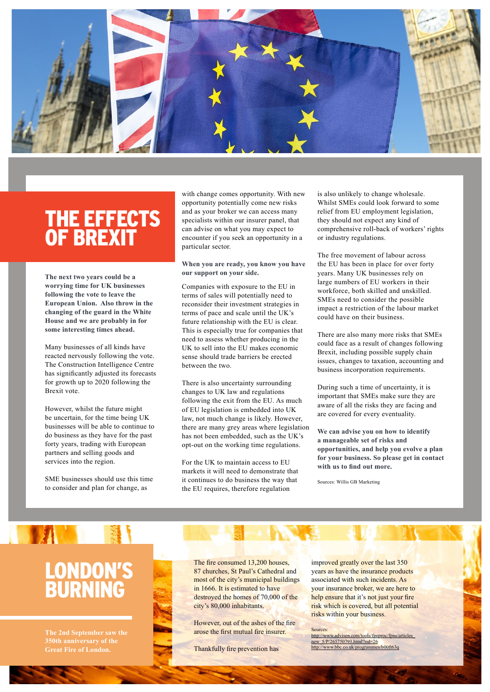

### THE EFFECTS OF BREXIT

**The next two years could be a worrying time for UK businesses following the vote to leave the European Union. Also throw in the changing of the guard in the White House and we are probably in for some interesting times ahead.**

Many businesses of all kinds have reacted nervously following the vote. The Construction Intelligence Centre has significantly adjusted its forecasts for growth up to 2020 following the Brexit vote.

However, whilst the future might be uncertain, for the time being UK businesses will be able to continue to do business as they have for the past forty years, trading with European partners and selling goods and services into the region.

SME businesses should use this time to consider and plan for change, as

with change comes opportunity. With new opportunity potentially come new risks and as your broker we can access many specialists within our insurer panel, that can advise on what you may expect to encounter if you seek an opportunity in a particular sector.

**When you are ready, you know you have our support on your side.**

Companies with exposure to the EU in terms of sales will potentially need to reconsider their investment strategies in terms of pace and scale until the UK's future relationship with the EU is clear. This is especially true for companies that need to assess whether producing in the UK to sell into the EU makes economic sense should trade barriers be erected between the two.

There is also uncertainty surrounding changes to UK law and regulations following the exit from the EU. As much of EU legislation is embedded into UK law, not much change is likely. However, there are many grey areas where legislation has not been embedded, such as the UK's opt-out on the working time regulations.

For the UK to maintain access to EU markets it will need to demonstrate that it continues to do business the way that the EU requires, therefore regulation

is also unlikely to change wholesale. Whilst SMEs could look forward to some relief from EU employment legislation, they should not expect any kind of comprehensive roll-back of workers' rights or industry regulations.

The free movement of labour across the EU has been in place for over forty years. Many UK businesses rely on large numbers of EU workers in their workforce, both skilled and unskilled. SMEs need to consider the possible impact a restriction of the labour market could have on their business.

There are also many more risks that SMEs could face as a result of changes following Brexit, including possible supply chain issues, changes to taxation, accounting and business incorporation requirements.

During such a time of uncertainty, it is important that SMEs make sure they are aware of all the risks they are facing and are covered for every eventuality.

**We can advise you on how to identify a manageable set of risks and opportunities, and help you evolve a plan for your business. So please get in contact with us to find out more.**

Sources: Willis GB Marketing

## LONDON'S BURNING

**TAN SERVICE** 

**Great Fire of London.** 

The fire consumed 13,200 houses, 87 churches, St Paul's Cathedral and most of the city's municipal buildings in 1666. It is estimated to have destroyed the homes of 70,000 of the city's 80,000 inhabitants.

However, out of the ashes of the fire arose the first mutual fire insurer.

Thankfully fire prevention has

improved greatly over the last 350 years as have the insurance products associated with such incidents. As your insurance broker, we are here to help ensure that it's not just your fire risk which is covered, but all potential risks within your business.

Sources: [http://www.advisen.com/tools/fpnproc/fpns/articles\\_](http://www.advisen.com/tools/fpnproc/fpns/articles_new_5/P/265750793.html?rid=26)<br>[new\\_5/P/265750793.html?rid=26](http://www.advisen.com/tools/fpnproc/fpns/articles_new_5/P/265750793.html?rid=26) <http://www.bbc.co.uk/programmes/b00ft63q>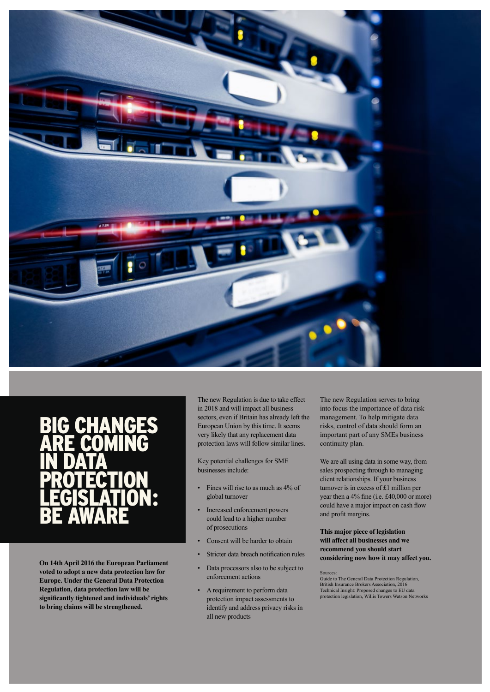

#### BIG CHANGES ARE COMING IN DATA **PROTECTION** LEGISLATION: BE AWARE

**On 14th April 2016 the European Parliament voted to adopt a new data protection law for Europe. Under the General Data Protection Regulation, data protection law will be significantly tightened and individuals' rights to bring claims will be strengthened.**

The new Regulation is due to take effect in 2018 and will impact all business sectors, even if Britain has already left the European Union by this time. It seems very likely that any replacement data protection laws will follow similar lines.

Key potential challenges for SME businesses include:

- Fines will rise to as much as 4% of global turnover
- Increased enforcement powers could lead to a higher number of prosecutions
- Consent will be harder to obtain
- Stricter data breach notification rules
- Data processors also to be subject to enforcement actions
- A requirement to perform data protection impact assessments to identify and address privacy risks in all new products

The new Regulation serves to bring into focus the importance of data risk management. To help mitigate data risks, control of data should form an important part of any SMEs business continuity plan.

We are all using data in some way, from sales prospecting through to managing client relationships. If your business turnover is in excess of £1 million per year then a 4% fine (i.e. £40,000 or more) could have a major impact on cash flow and profit margins.

#### **This major piece of legislation will affect all businesses and we recommend you should start considering now how it may affect you.**

Sources: Guide to The General Data Protection Regulation, British Insurance Brokers Association, 2016 Technical Insight: Proposed changes to EU data protection legislation, Willis Towers Watson Networks